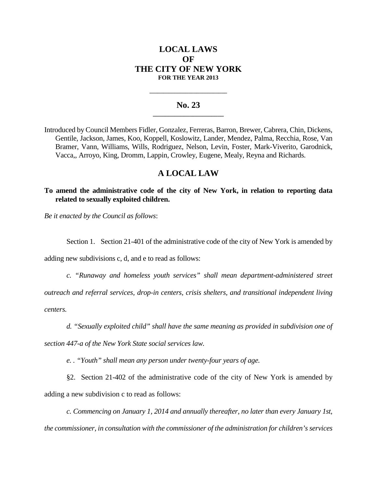# **LOCAL LAWS OF THE CITY OF NEW YORK FOR THE YEAR 2013**

### **No. 23 \_\_\_\_\_\_\_\_\_\_\_\_\_\_\_\_\_\_\_\_\_\_\_**

**\_\_\_\_\_\_\_\_\_\_\_\_\_\_\_\_\_\_\_\_\_\_\_\_\_\_\_\_**

Introduced by Council Members Fidler, Gonzalez, Ferreras, Barron, Brewer, Cabrera, Chin, Dickens, Gentile, Jackson, James, Koo, Koppell, Koslowitz, Lander, Mendez, Palma, Recchia, Rose, Van Bramer, Vann, Williams, Wills, Rodriguez, Nelson, Levin, Foster, Mark-Viverito, Garodnick, Vacca,, Arroyo, King, Dromm, Lappin, Crowley, Eugene, Mealy, Reyna and Richards.

# **A LOCAL LAW**

**To amend the administrative code of the city of New York, in relation to reporting data related to sexually exploited children.**

*Be it enacted by the Council as follows*:

Section 1. Section 21-401 of the administrative code of the city of New York is amended by

adding new subdivisions c, d, and e to read as follows:

*c. "Runaway and homeless youth services" shall mean department-administered street*

*outreach and referral services, drop-in centers, crisis shelters, and transitional independent living centers.*

*d. "Sexually exploited child" shall have the same meaning as provided in subdivision one of*

*section 447-a of the New York State social services law.*

*e. . "Youth" shall mean any person under twenty-four years of age.*

§2. Section 21-402 of the administrative code of the city of New York is amended by adding a new subdivision c to read as follows:

*c. Commencing on January 1, 2014 and annually thereafter, no later than every January 1st, the commissioner, in consultation with the commissioner of the administration for children's services*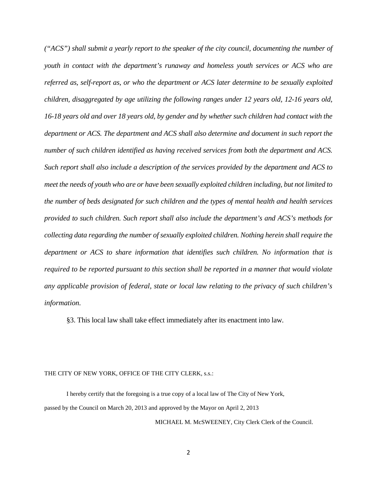*("ACS") shall submit a yearly report to the speaker of the city council, documenting the number of youth in contact with the department's runaway and homeless youth services or ACS who are referred as, self-report as, or who the department or ACS later determine to be sexually exploited children, disaggregated by age utilizing the following ranges under 12 years old, 12-16 years old, 16-18 years old and over 18 years old, by gender and by whether such children had contact with the department or ACS. The department and ACS shall also determine and document in such report the number of such children identified as having received services from both the department and ACS. Such report shall also include a description of the services provided by the department and ACS to meet the needs of youth who are or have been sexually exploited children including, but not limited to the number of beds designated for such children and the types of mental health and health services provided to such children. Such report shall also include the department's and ACS's methods for collecting data regarding the number of sexually exploited children. Nothing herein shall require the department or ACS to share information that identifies such children. No information that is required to be reported pursuant to this section shall be reported in a manner that would violate any applicable provision of federal, state or local law relating to the privacy of such children's information.*

§3. This local law shall take effect immediately after its enactment into law.

#### THE CITY OF NEW YORK, OFFICE OF THE CITY CLERK, s.s.:

I hereby certify that the foregoing is a true copy of a local law of The City of New York, passed by the Council on March 20, 2013 and approved by the Mayor on April 2, 2013

MICHAEL M. McSWEENEY, City Clerk Clerk of the Council.